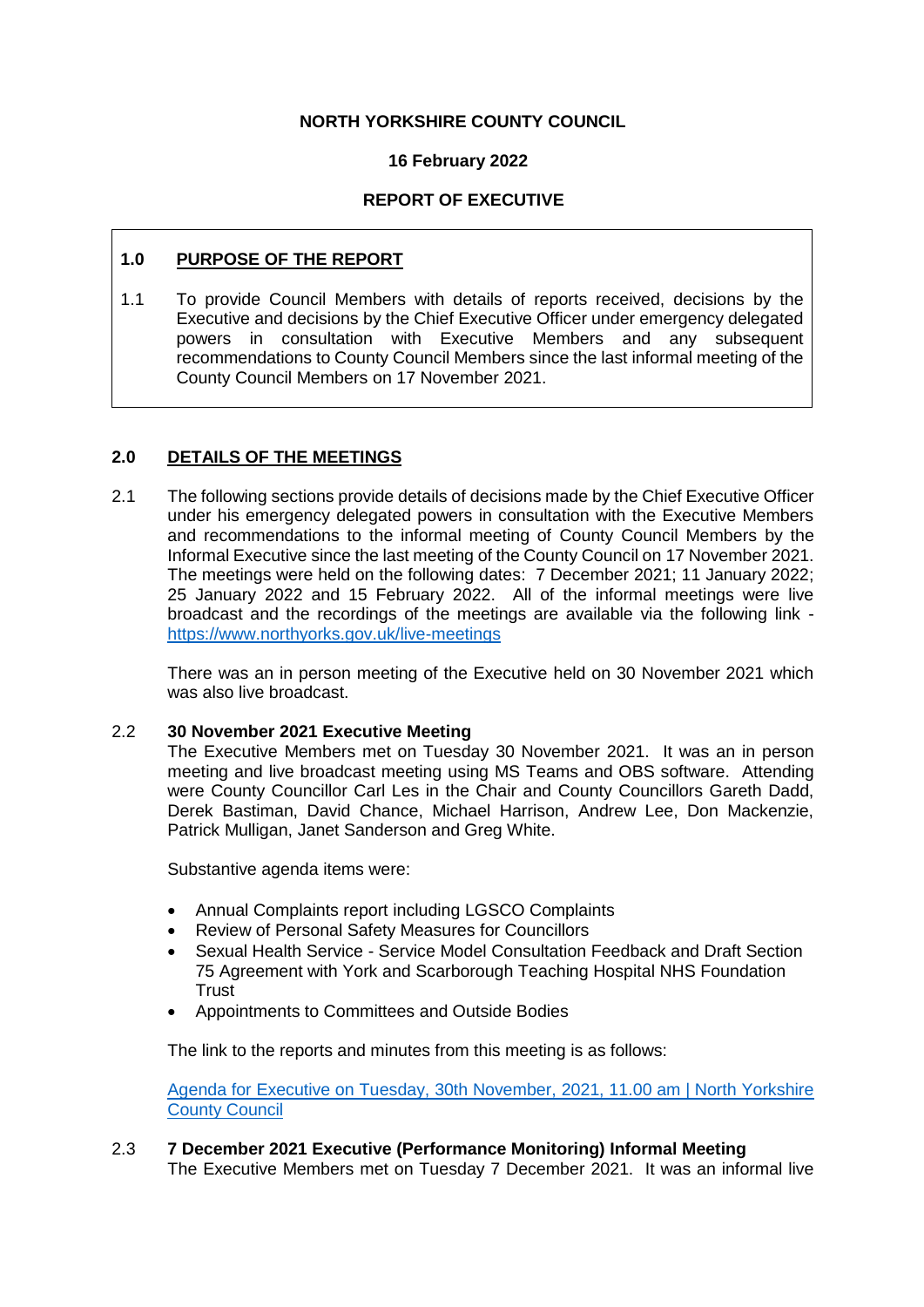### **NORTH YORKSHIRE COUNTY COUNCIL**

#### **16 February 2022**

### **REPORT OF EXECUTIVE**

## **1.0 PURPOSE OF THE REPORT**

1.1 To provide Council Members with details of reports received, decisions by the Executive and decisions by the Chief Executive Officer under emergency delegated powers in consultation with Executive Members and any subsequent recommendations to County Council Members since the last informal meeting of the County Council Members on 17 November 2021.

### **2.0 DETAILS OF THE MEETINGS**

2.1 The following sections provide details of decisions made by the Chief Executive Officer under his emergency delegated powers in consultation with the Executive Members and recommendations to the informal meeting of County Council Members by the Informal Executive since the last meeting of the County Council on 17 November 2021. The meetings were held on the following dates: 7 December 2021; 11 January 2022; 25 January 2022 and 15 February 2022. All of the informal meetings were live broadcast and the recordings of the meetings are available via the following link <https://www.northyorks.gov.uk/live-meetings>

There was an in person meeting of the Executive held on 30 November 2021 which was also live broadcast.

### 2.2 **30 November 2021 Executive Meeting**

The Executive Members met on Tuesday 30 November 2021. It was an in person meeting and live broadcast meeting using MS Teams and OBS software. Attending were County Councillor Carl Les in the Chair and County Councillors Gareth Dadd, Derek Bastiman, David Chance, Michael Harrison, Andrew Lee, Don Mackenzie, Patrick Mulligan, Janet Sanderson and Greg White.

Substantive agenda items were:

- Annual Complaints report including LGSCO Complaints
- Review of Personal Safety Measures for Councillors
- Sexual Health Service Service Model Consultation Feedback and Draft Section 75 Agreement with York and Scarborough Teaching Hospital NHS Foundation **Trust**
- Appointments to Committees and Outside Bodies

The link to the reports and minutes from this meeting is as follows:

[Agenda for Executive on Tuesday, 30th November, 2021, 11.00 am | North Yorkshire](http://pa-mgov/ieListDocuments.aspx?CId=1147&MId=5159&Ver=4)  [County Council](http://pa-mgov/ieListDocuments.aspx?CId=1147&MId=5159&Ver=4)

# 2.3 **7 December 2021 Executive (Performance Monitoring) Informal Meeting**

The Executive Members met on Tuesday 7 December 2021. It was an informal live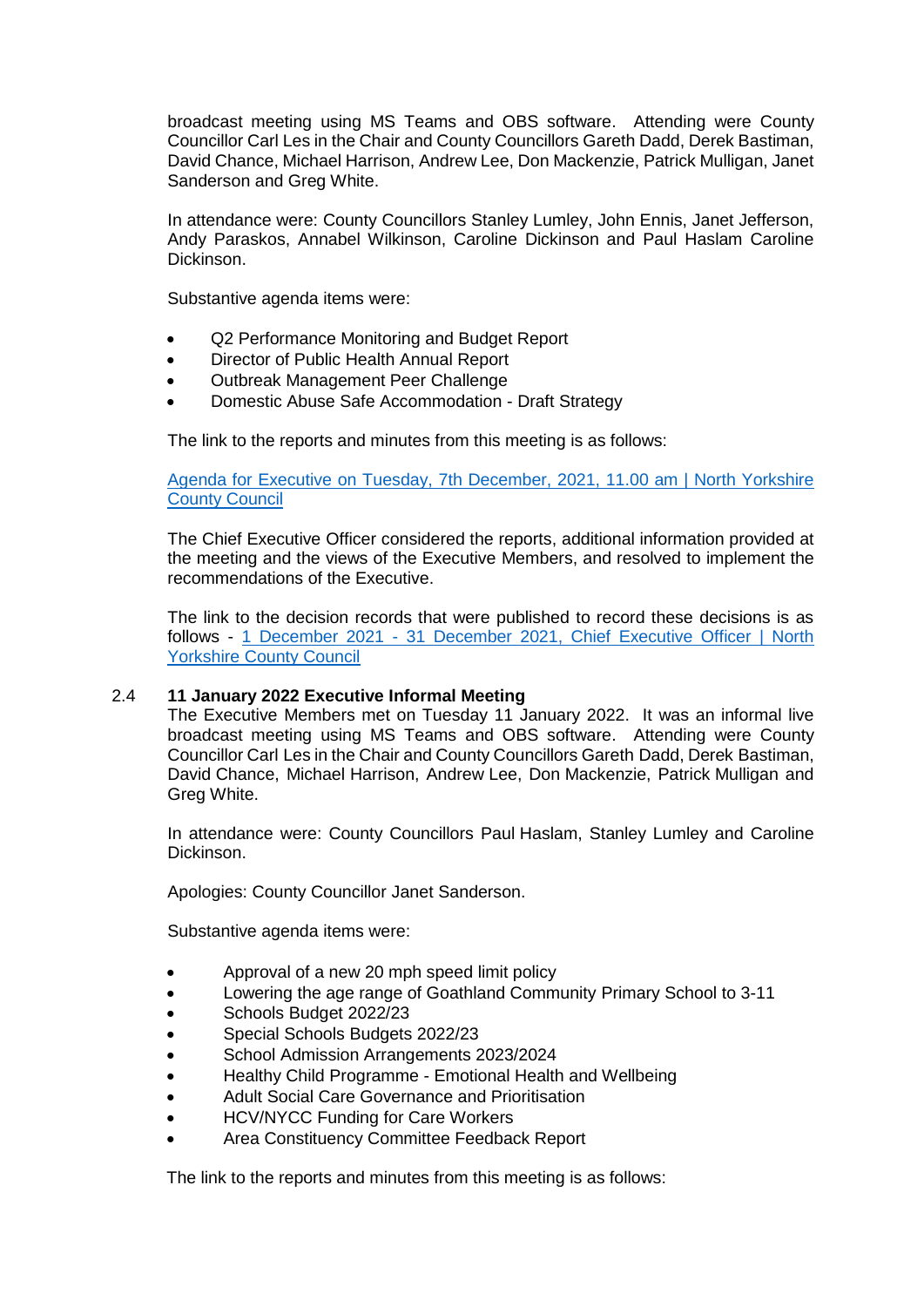broadcast meeting using MS Teams and OBS software. Attending were County Councillor Carl Les in the Chair and County Councillors Gareth Dadd, Derek Bastiman, David Chance, Michael Harrison, Andrew Lee, Don Mackenzie, Patrick Mulligan, Janet Sanderson and Greg White.

In attendance were: County Councillors Stanley Lumley, John Ennis, Janet Jefferson, Andy Paraskos, Annabel Wilkinson, Caroline Dickinson and Paul Haslam Caroline Dickinson.

Substantive agenda items were:

- Q2 Performance Monitoring and Budget Report
- Director of Public Health Annual Report
- Outbreak Management Peer Challenge
- Domestic Abuse Safe Accommodation Draft Strategy

The link to the reports and minutes from this meeting is as follows:

[Agenda for Executive on Tuesday, 7th December, 2021, 11.00 am | North Yorkshire](http://pa-mgov/ieListDocuments.aspx?CId=1147&MId=4498&Ver=4)  [County Council](http://pa-mgov/ieListDocuments.aspx?CId=1147&MId=4498&Ver=4)

The Chief Executive Officer considered the reports, additional information provided at the meeting and the views of the Executive Members, and resolved to implement the recommendations of the Executive.

The link to the decision records that were published to record these decisions is as follows - 1 December 2021 - [31 December 2021, Chief Executive Officer | North](http://pa-mgov/mgDelegatedDecisions.aspx?&RP=0&K=0&V=0&DM=1166O&HD=0&DS=2&Next=true&META=mgdelegateddecisions&DR=01%2f12%2f2021-31%2f12%2f2021)  [Yorkshire County Council](http://pa-mgov/mgDelegatedDecisions.aspx?&RP=0&K=0&V=0&DM=1166O&HD=0&DS=2&Next=true&META=mgdelegateddecisions&DR=01%2f12%2f2021-31%2f12%2f2021)

### 2.4 **11 January 2022 Executive Informal Meeting**

The Executive Members met on Tuesday 11 January 2022. It was an informal live broadcast meeting using MS Teams and OBS software. Attending were County Councillor Carl Les in the Chair and County Councillors Gareth Dadd, Derek Bastiman, David Chance, Michael Harrison, Andrew Lee, Don Mackenzie, Patrick Mulligan and Greg White.

In attendance were: County Councillors Paul Haslam, Stanley Lumley and Caroline Dickinson.

Apologies: County Councillor Janet Sanderson.

Substantive agenda items were:

- Approval of a new 20 mph speed limit policy
- Lowering the age range of Goathland Community Primary School to 3-11
- Schools Budget 2022/23
- Special Schools Budgets 2022/23
- School Admission Arrangements 2023/2024
- Healthy Child Programme Emotional Health and Wellbeing
- Adult Social Care Governance and Prioritisation
- HCV/NYCC Funding for Care Workers
- Area Constituency Committee Feedback Report

The link to the reports and minutes from this meeting is as follows: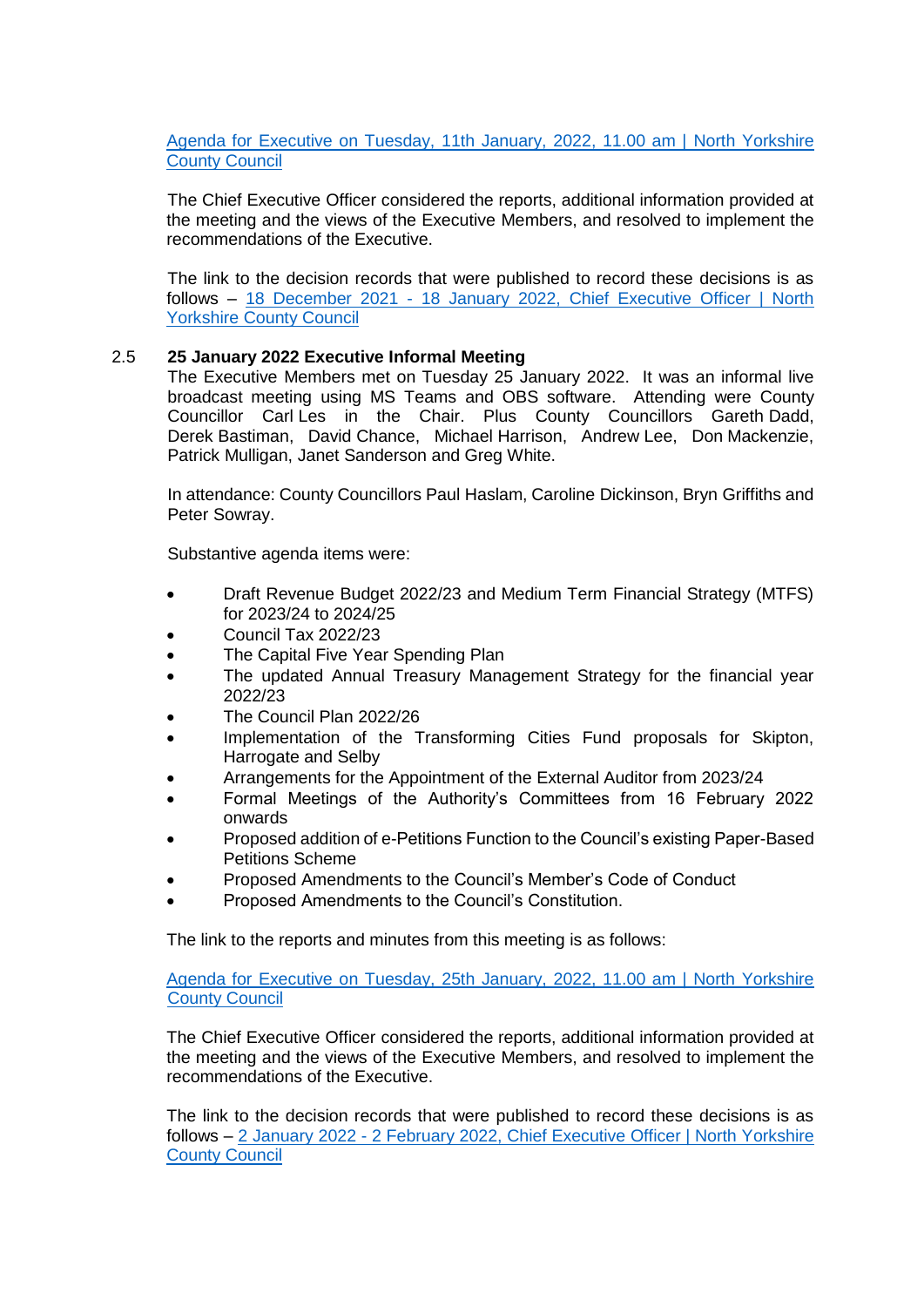[Agenda for Executive on Tuesday, 11th January, 2022, 11.00 am | North Yorkshire](http://pa-mgov/ieListDocuments.aspx?CId=1147&MId=4499&Ver=4)  [County Council](http://pa-mgov/ieListDocuments.aspx?CId=1147&MId=4499&Ver=4)

The Chief Executive Officer considered the reports, additional information provided at the meeting and the views of the Executive Members, and resolved to implement the recommendations of the Executive.

The link to the decision records that were published to record these decisions is as follows – 18 December 2021 - [18 January 2022, Chief Executive Officer | North](http://pa-mgov/mgDelegatedDecisions.aspx?XXR=0&&DR=18%2f12%2f2021-18%2f01%2f2022&ACT=Find&RP=0&K=0&V=0&DM=1166O&HD=0&DS=2&Next=true&NOW=170122094748&META=mgdelegateddecisions)  [Yorkshire County Council](http://pa-mgov/mgDelegatedDecisions.aspx?XXR=0&&DR=18%2f12%2f2021-18%2f01%2f2022&ACT=Find&RP=0&K=0&V=0&DM=1166O&HD=0&DS=2&Next=true&NOW=170122094748&META=mgdelegateddecisions)

### 2.5 **25 January 2022 Executive Informal Meeting**

The Executive Members met on Tuesday 25 January 2022. It was an informal live broadcast meeting using MS Teams and OBS software. Attending were County Councillor Carl Les in the Chair. Plus County Councillors Gareth Dadd, Derek Bastiman, David Chance, Michael Harrison, Andrew Lee, Don Mackenzie, Patrick Mulligan, Janet Sanderson and Greg White.

In attendance: County Councillors Paul Haslam, Caroline Dickinson, Bryn Griffiths and Peter Sowray.

Substantive agenda items were:

- Draft Revenue Budget 2022/23 and Medium Term Financial Strategy (MTFS) for 2023/24 to 2024/25
- Council Tax 2022/23
- The Capital Five Year Spending Plan
- The updated Annual Treasury Management Strategy for the financial year 2022/23
- The Council Plan 2022/26
- Implementation of the Transforming Cities Fund proposals for Skipton, Harrogate and Selby
- Arrangements for the Appointment of the External Auditor from 2023/24
- Formal Meetings of the Authority's Committees from 16 February 2022 onwards
- Proposed addition of e-Petitions Function to the Council's existing Paper-Based Petitions Scheme
- Proposed Amendments to the Council's Member's Code of Conduct
- Proposed Amendments to the Council's Constitution.

The link to the reports and minutes from this meeting is as follows:

[Agenda for Executive on Tuesday, 25th January, 2022, 11.00 am | North Yorkshire](http://pa-mgov/ieListDocuments.aspx?CId=1147&MId=4500&Ver=4)  [County Council](http://pa-mgov/ieListDocuments.aspx?CId=1147&MId=4500&Ver=4)

The Chief Executive Officer considered the reports, additional information provided at the meeting and the views of the Executive Members, and resolved to implement the recommendations of the Executive.

The link to the decision records that were published to record these decisions is as follows – 2 January 2022 - [2 February 2022, Chief Executive Officer | North Yorkshire](http://pa-mgov/mgDelegatedDecisions.aspx?XXR=0&&DR=02%2f01%2f2022-02%2f02%2f2022&ACT=Find&RP=0&K=0&V=0&DM=1166O&HD=0&DS=2&Next=true&NOW=010222141957&META=mgdelegateddecisions)  [County Council](http://pa-mgov/mgDelegatedDecisions.aspx?XXR=0&&DR=02%2f01%2f2022-02%2f02%2f2022&ACT=Find&RP=0&K=0&V=0&DM=1166O&HD=0&DS=2&Next=true&NOW=010222141957&META=mgdelegateddecisions)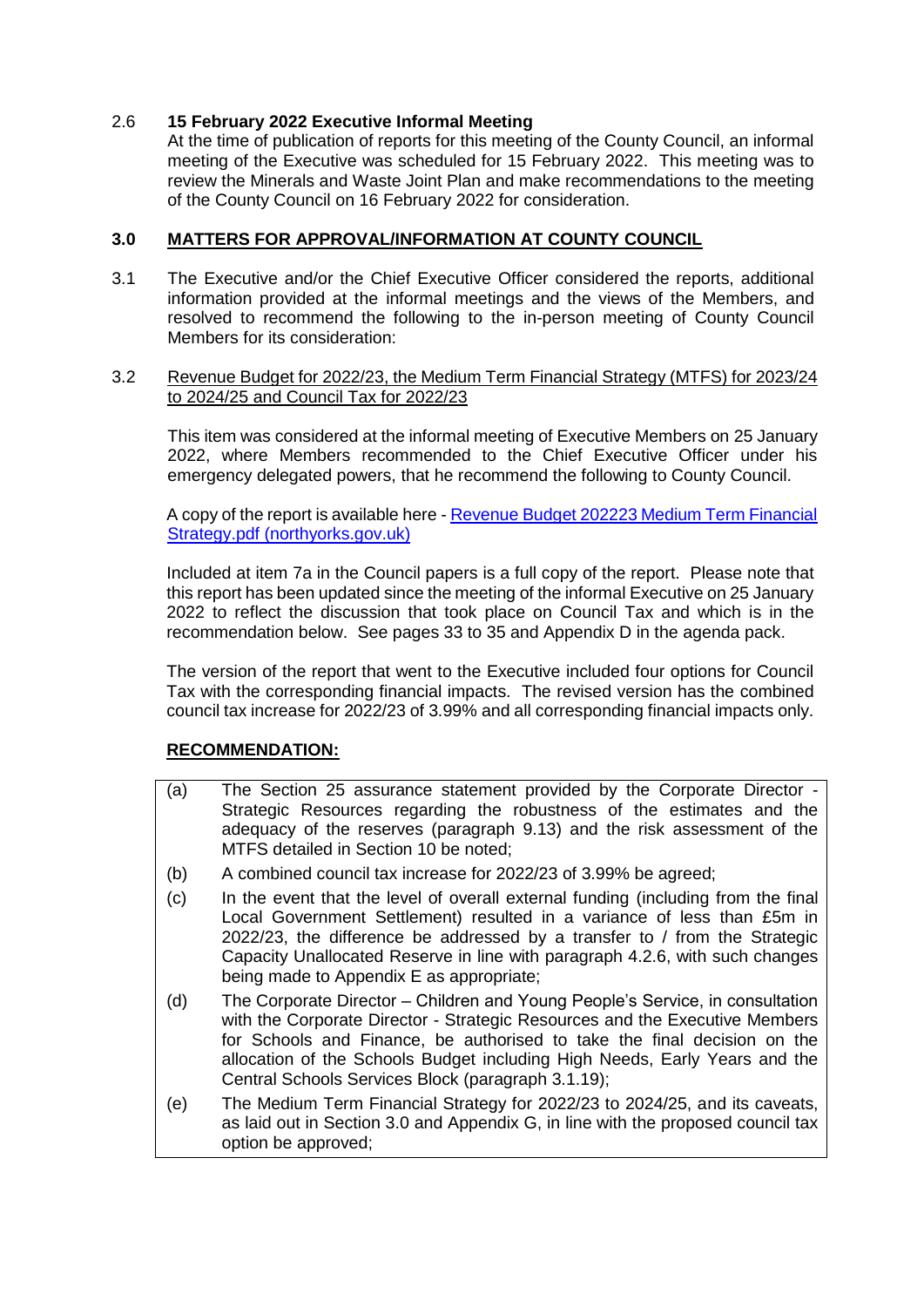## 2.6 **15 February 2022 Executive Informal Meeting**

At the time of publication of reports for this meeting of the County Council, an informal meeting of the Executive was scheduled for 15 February 2022. This meeting was to review the Minerals and Waste Joint Plan and make recommendations to the meeting of the County Council on 16 February 2022 for consideration.

### **3.0 MATTERS FOR APPROVAL/INFORMATION AT COUNTY COUNCIL**

3.1 The Executive and/or the Chief Executive Officer considered the reports, additional information provided at the informal meetings and the views of the Members, and resolved to recommend the following to the in-person meeting of County Council Members for its consideration:

#### 3.2 Revenue Budget for 2022/23, the Medium Term Financial Strategy (MTFS) for 2023/24 to 2024/25 and Council Tax for 2022/23

This item was considered at the informal meeting of Executive Members on 25 January 2022, where Members recommended to the Chief Executive Officer under his emergency delegated powers, that he recommend the following to County Council.

A copy of the report is available here - [Revenue Budget 202223 Medium Term Financial](https://edemocracy.northyorks.gov.uk/documents/s10866/Revenue%20Budget%20202223%20Medium%20Term%20Financial%20Strategy.pdf)  [Strategy.pdf \(northyorks.gov.uk\)](https://edemocracy.northyorks.gov.uk/documents/s10866/Revenue%20Budget%20202223%20Medium%20Term%20Financial%20Strategy.pdf)

Included at item 7a in the Council papers is a full copy of the report. Please note that this report has been updated since the meeting of the informal Executive on 25 January 2022 to reflect the discussion that took place on Council Tax and which is in the recommendation below. See pages 33 to 35 and Appendix D in the agenda pack.

The version of the report that went to the Executive included four options for Council Tax with the corresponding financial impacts. The revised version has the combined council tax increase for 2022/23 of 3.99% and all corresponding financial impacts only.

# **RECOMMENDATION:**

- (a) The Section 25 assurance statement provided by the Corporate Director Strategic Resources regarding the robustness of the estimates and the adequacy of the reserves (paragraph 9.13) and the risk assessment of the MTFS detailed in Section 10 be noted;
- (b) A combined council tax increase for 2022/23 of 3.99% be agreed;
- (c) In the event that the level of overall external funding (including from the final Local Government Settlement) resulted in a variance of less than £5m in 2022/23, the difference be addressed by a transfer to / from the Strategic Capacity Unallocated Reserve in line with paragraph 4.2.6, with such changes being made to Appendix E as appropriate;
- (d) The Corporate Director Children and Young People's Service, in consultation with the Corporate Director - Strategic Resources and the Executive Members for Schools and Finance, be authorised to take the final decision on the allocation of the Schools Budget including High Needs, Early Years and the Central Schools Services Block (paragraph 3.1.19);
- (e) The Medium Term Financial Strategy for 2022/23 to 2024/25, and its caveats, as laid out in Section 3.0 and Appendix G, in line with the proposed council tax option be approved;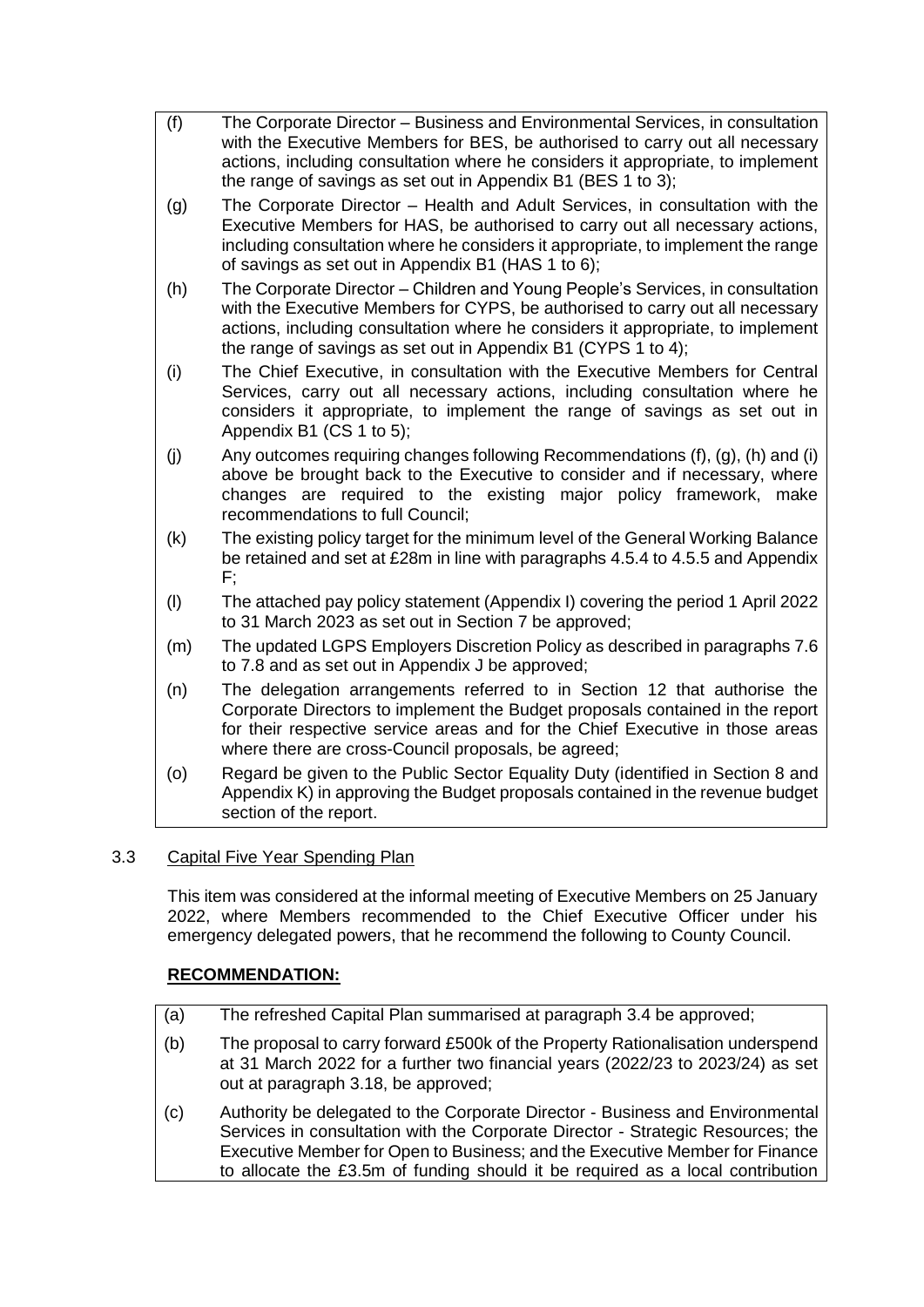- (f) The Corporate Director Business and Environmental Services, in consultation with the Executive Members for BES, be authorised to carry out all necessary actions, including consultation where he considers it appropriate, to implement the range of savings as set out in Appendix B1 (BES 1 to 3);
- (g) The Corporate Director Health and Adult Services, in consultation with the Executive Members for HAS, be authorised to carry out all necessary actions, including consultation where he considers it appropriate, to implement the range of savings as set out in Appendix B1 (HAS 1 to 6);
- (h) The Corporate Director Children and Young People's Services, in consultation with the Executive Members for CYPS, be authorised to carry out all necessary actions, including consultation where he considers it appropriate, to implement the range of savings as set out in Appendix B1 (CYPS 1 to 4);
- (i) The Chief Executive, in consultation with the Executive Members for Central Services, carry out all necessary actions, including consultation where he considers it appropriate, to implement the range of savings as set out in Appendix B1 (CS 1 to 5);
- (i) Any outcomes requiring changes following Recommendations (f), (g), (h) and (i) above be brought back to the Executive to consider and if necessary, where changes are required to the existing major policy framework, make recommendations to full Council;
- (k) The existing policy target for the minimum level of the General Working Balance be retained and set at £28m in line with paragraphs 4.5.4 to 4.5.5 and Appendix F;
- (l) The attached pay policy statement (Appendix I) covering the period 1 April 2022 to 31 March 2023 as set out in Section 7 be approved;
- (m) The updated LGPS Employers Discretion Policy as described in paragraphs 7.6 to 7.8 and as set out in Appendix J be approved;
- (n) The delegation arrangements referred to in Section 12 that authorise the Corporate Directors to implement the Budget proposals contained in the report for their respective service areas and for the Chief Executive in those areas where there are cross-Council proposals, be agreed;
- (o) Regard be given to the Public Sector Equality Duty (identified in Section 8 and Appendix K) in approving the Budget proposals contained in the revenue budget section of the report.

# 3.3 Capital Five Year Spending Plan

This item was considered at the informal meeting of Executive Members on 25 January 2022, where Members recommended to the Chief Executive Officer under his emergency delegated powers, that he recommend the following to County Council.

# **RECOMMENDATION:**

- (a) The refreshed Capital Plan summarised at paragraph 3.4 be approved;
- (b) The proposal to carry forward £500k of the Property Rationalisation underspend at 31 March 2022 for a further two financial years (2022/23 to 2023/24) as set out at paragraph 3.18, be approved;
- (c) Authority be delegated to the Corporate Director Business and Environmental Services in consultation with the Corporate Director - Strategic Resources; the Executive Member for Open to Business; and the Executive Member for Finance to allocate the £3.5m of funding should it be required as a local contribution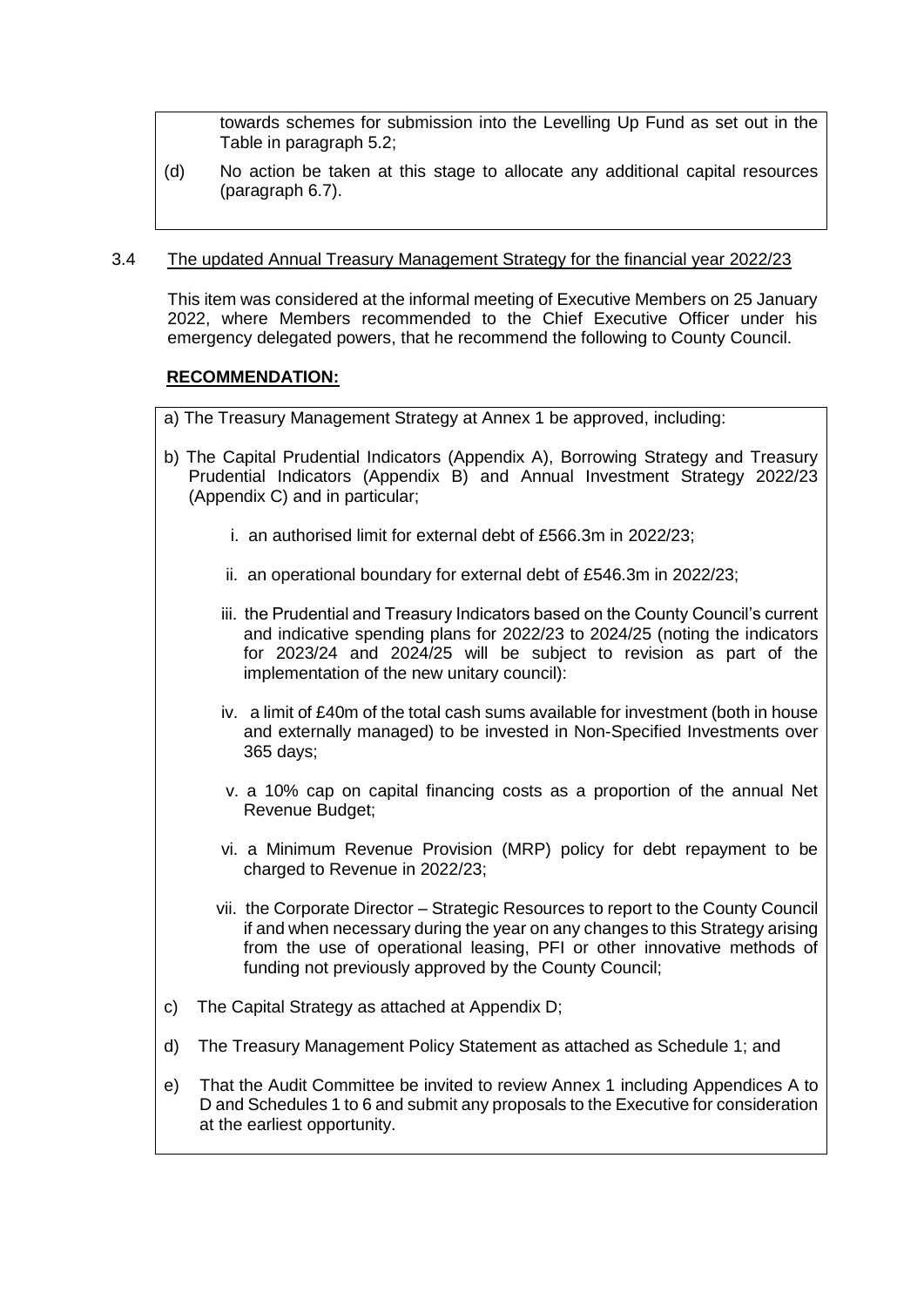towards schemes for submission into the Levelling Up Fund as set out in the Table in paragraph 5.2;

(d) No action be taken at this stage to allocate any additional capital resources (paragraph 6.7).

#### 3.4 The updated Annual Treasury Management Strategy for the financial year 2022/23

This item was considered at the informal meeting of Executive Members on 25 January 2022, where Members recommended to the Chief Executive Officer under his emergency delegated powers, that he recommend the following to County Council.

### **RECOMMENDATION:**

- a) The Treasury Management Strategy at Annex 1 be approved, including:
- b) The Capital Prudential Indicators (Appendix A), Borrowing Strategy and Treasury Prudential Indicators (Appendix B) and Annual Investment Strategy 2022/23 (Appendix C) and in particular;
	- i. an authorised limit for external debt of £566.3m in 2022/23;
	- ii. an operational boundary for external debt of £546.3m in 2022/23;
	- iii. the Prudential and Treasury Indicators based on the County Council's current and indicative spending plans for 2022/23 to 2024/25 (noting the indicators for 2023/24 and 2024/25 will be subject to revision as part of the implementation of the new unitary council):
	- iv. a limit of £40m of the total cash sums available for investment (both in house and externally managed) to be invested in Non-Specified Investments over 365 days;
	- v. a 10% cap on capital financing costs as a proportion of the annual Net Revenue Budget;
	- vi. a Minimum Revenue Provision (MRP) policy for debt repayment to be charged to Revenue in 2022/23;
	- vii. the Corporate Director Strategic Resources to report to the County Council if and when necessary during the year on any changes to this Strategy arising from the use of operational leasing, PFI or other innovative methods of funding not previously approved by the County Council;
- c) The Capital Strategy as attached at Appendix D;
- d) The Treasury Management Policy Statement as attached as Schedule 1; and
- e) That the Audit Committee be invited to review Annex 1 including Appendices A to D and Schedules 1 to 6 and submit any proposals to the Executive for consideration at the earliest opportunity.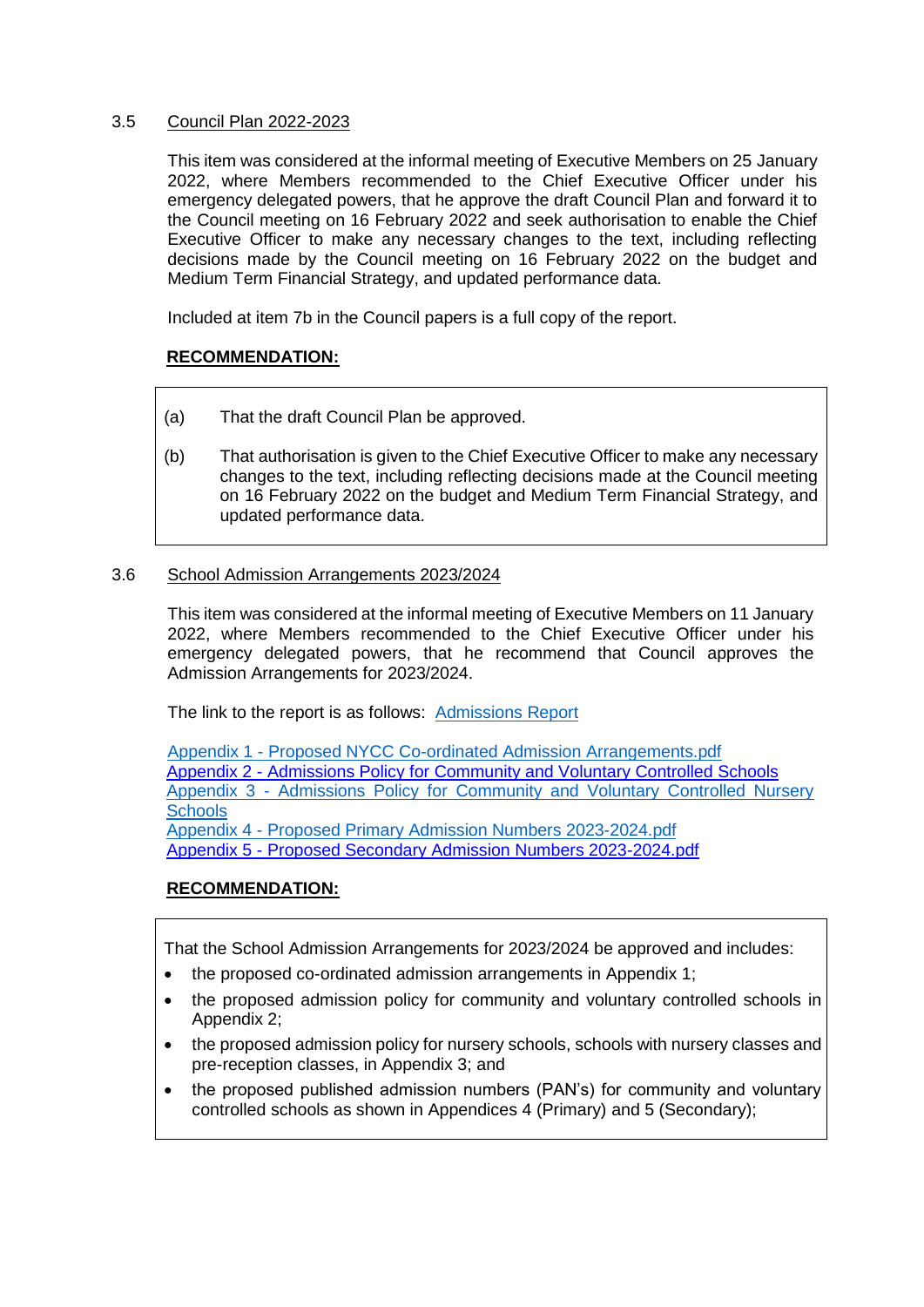### 3.5 Council Plan 2022-2023

This item was considered at the informal meeting of Executive Members on 25 January 2022, where Members recommended to the Chief Executive Officer under his emergency delegated powers, that he approve the draft Council Plan and forward it to the Council meeting on 16 February 2022 and seek authorisation to enable the Chief Executive Officer to make any necessary changes to the text, including reflecting decisions made by the Council meeting on 16 February 2022 on the budget and Medium Term Financial Strategy, and updated performance data.

Included at item 7b in the Council papers is a full copy of the report.

## **RECOMMENDATION:**

- (a) That the draft Council Plan be approved.
- (b) That authorisation is given to the Chief Executive Officer to make any necessary changes to the text, including reflecting decisions made at the Council meeting on 16 February 2022 on the budget and Medium Term Financial Strategy, and updated performance data.

### 3.6 School Admission Arrangements 2023/2024

This item was considered at the informal meeting of Executive Members on 11 January 2022, where Members recommended to the Chief Executive Officer under his emergency delegated powers, that he recommend that Council approves the Admission Arrangements for 2023/2024.

The link to the report is as follows: [Admissions Report](http://pa-mgov/documents/s10534/Report%20on%20School%20Admission%20Arrangements%20for%20the%20School%20Year%202023-24.pdf)

Appendix 1 - [Proposed NYCC Co-ordinated Admission Arrangements.pdf](http://pa-mgov/documents/s10535/Appendix%201%20-%20Proposed%20NYCC%20Co-ordinated%20Admission%20Arrangements.pdf) Appendix 2 - [Admissions Policy for Community and Voluntary Controlled Schools](http://pa-mgov/documents/s10536/Appendix%202%20-%20Proposed%20NYCC%20Policy%20-%20Proposed%202023-2024.pdf) Appendix 3 - [Admissions Policy for Community and Voluntary Controlled Nursery](http://pa-mgov/documents/s10537/Appendix%203%20-%20Proposed%20NYCC%20Nursery%20Policy%20-%20Proposed%202023-2024.pdf)  **[Schools](http://pa-mgov/documents/s10537/Appendix%203%20-%20Proposed%20NYCC%20Nursery%20Policy%20-%20Proposed%202023-2024.pdf)** Appendix 4 - [Proposed Primary Admission Numbers 2023-2024.pdf](http://pa-mgov/documents/s10538/Appendix%204%20-%20Proposed%20Primary%20Admission%20Numbers%202023-2024.pdf) Appendix 5 - [Proposed Secondary Admission Numbers 2023-2024.pdf](http://pa-mgov/documents/s10539/Appendix%205%20-%20Proposed%20Secondary%20Admission%20Numbers%202023-2024.pdf)

# **RECOMMENDATION:**

That the School Admission Arrangements for 2023/2024 be approved and includes:

- the proposed co-ordinated admission arrangements in Appendix 1;
- the proposed admission policy for community and voluntary controlled schools in Appendix 2;
- the proposed admission policy for nursery schools, schools with nursery classes and pre-reception classes, in Appendix 3; and
- the proposed published admission numbers (PAN's) for community and voluntary controlled schools as shown in Appendices 4 (Primary) and 5 (Secondary);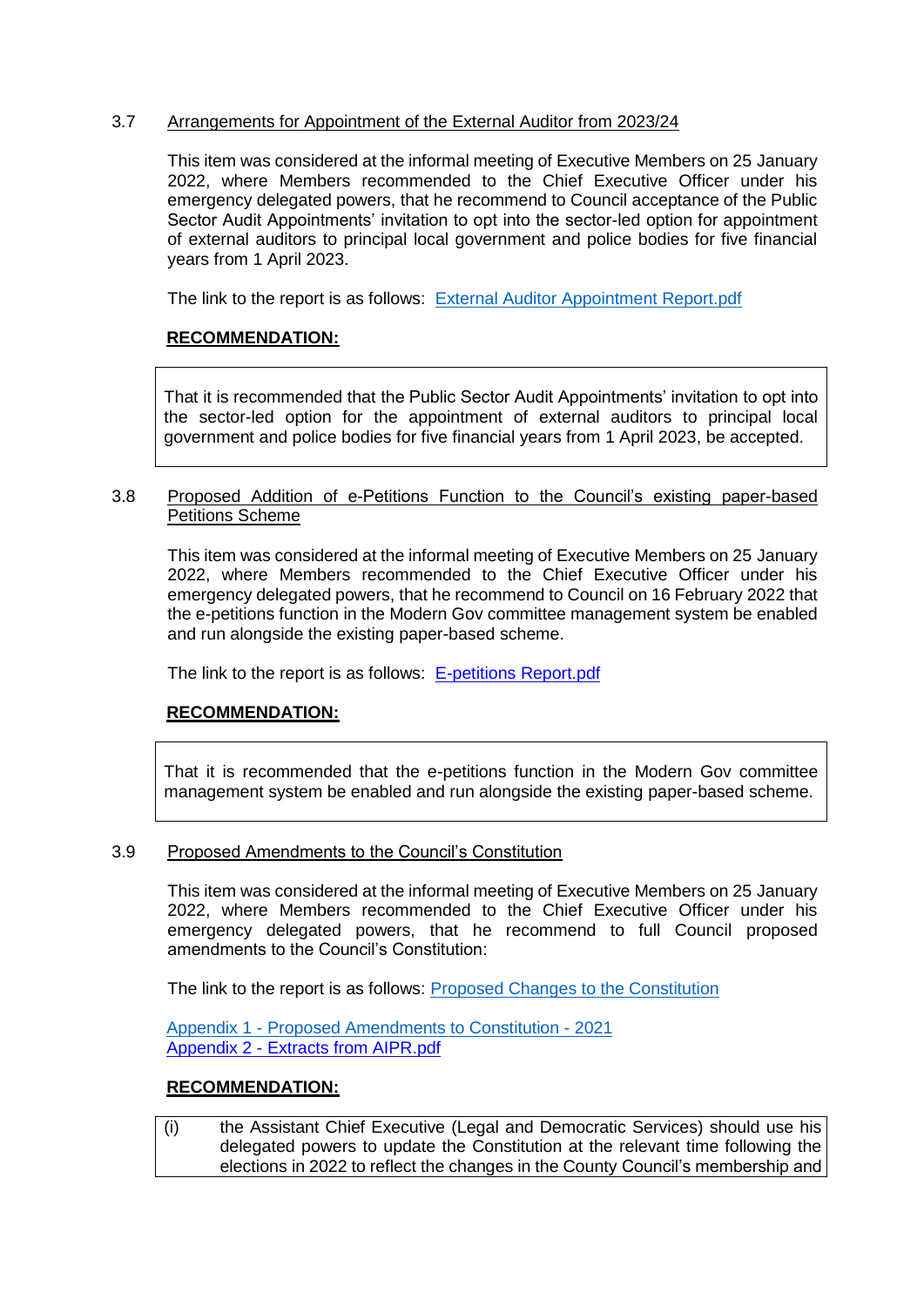### 3.7 Arrangements for Appointment of the External Auditor from 2023/24

This item was considered at the informal meeting of Executive Members on 25 January 2022, where Members recommended to the Chief Executive Officer under his emergency delegated powers, that he recommend to Council acceptance of the Public Sector Audit Appointments' invitation to opt into the sector-led option for appointment of external auditors to principal local government and police bodies for five financial years from 1 April 2023.

The link to the report is as follows: [External Auditor Appointment Report.pdf](http://pa-mgov/documents/s10827/External%20Auditor%20Appointment%20Report.pdf)

# **RECOMMENDATION:**

That it is recommended that the Public Sector Audit Appointments' invitation to opt into the sector-led option for the appointment of external auditors to principal local government and police bodies for five financial years from 1 April 2023, be accepted.

#### 3.8 Proposed Addition of e-Petitions Function to the Council's existing paper-based Petitions Scheme

This item was considered at the informal meeting of Executive Members on 25 January 2022, where Members recommended to the Chief Executive Officer under his emergency delegated powers, that he recommend to Council on 16 February 2022 that the e-petitions function in the Modern Gov committee management system be enabled and run alongside the existing paper-based scheme.

The link to the report is as follows: [E-petitions Report.pdf](http://pa-mgov/documents/s10814/E-petitions%20Report.pdf)

# **RECOMMENDATION:**

That it is recommended that the e-petitions function in the Modern Gov committee management system be enabled and run alongside the existing paper-based scheme.

### 3.9 Proposed Amendments to the Council's Constitution

This item was considered at the informal meeting of Executive Members on 25 January 2022, where Members recommended to the Chief Executive Officer under his emergency delegated powers, that he recommend to full Council proposed amendments to the Council's Constitution:

The link to the report is as follows: [Proposed Changes to the Constitution](http://pa-mgov/documents/s10835/Changes%20to%20Constitution%20Report.pdf)

Appendix 1 - [Proposed Amendments to Constitution -](http://pa-mgov/documents/s10836/Appendix%201%20-Amendments%20Chart.pdf) 2021 Appendix 2 - [Extracts from AIPR.pdf](http://pa-mgov/documents/s10837/Appendix%202%20-%20Extracts%20from%20AIPR.pdf)

### **RECOMMENDATION:**

(i) the Assistant Chief Executive (Legal and Democratic Services) should use his delegated powers to update the Constitution at the relevant time following the elections in 2022 to reflect the changes in the County Council's membership and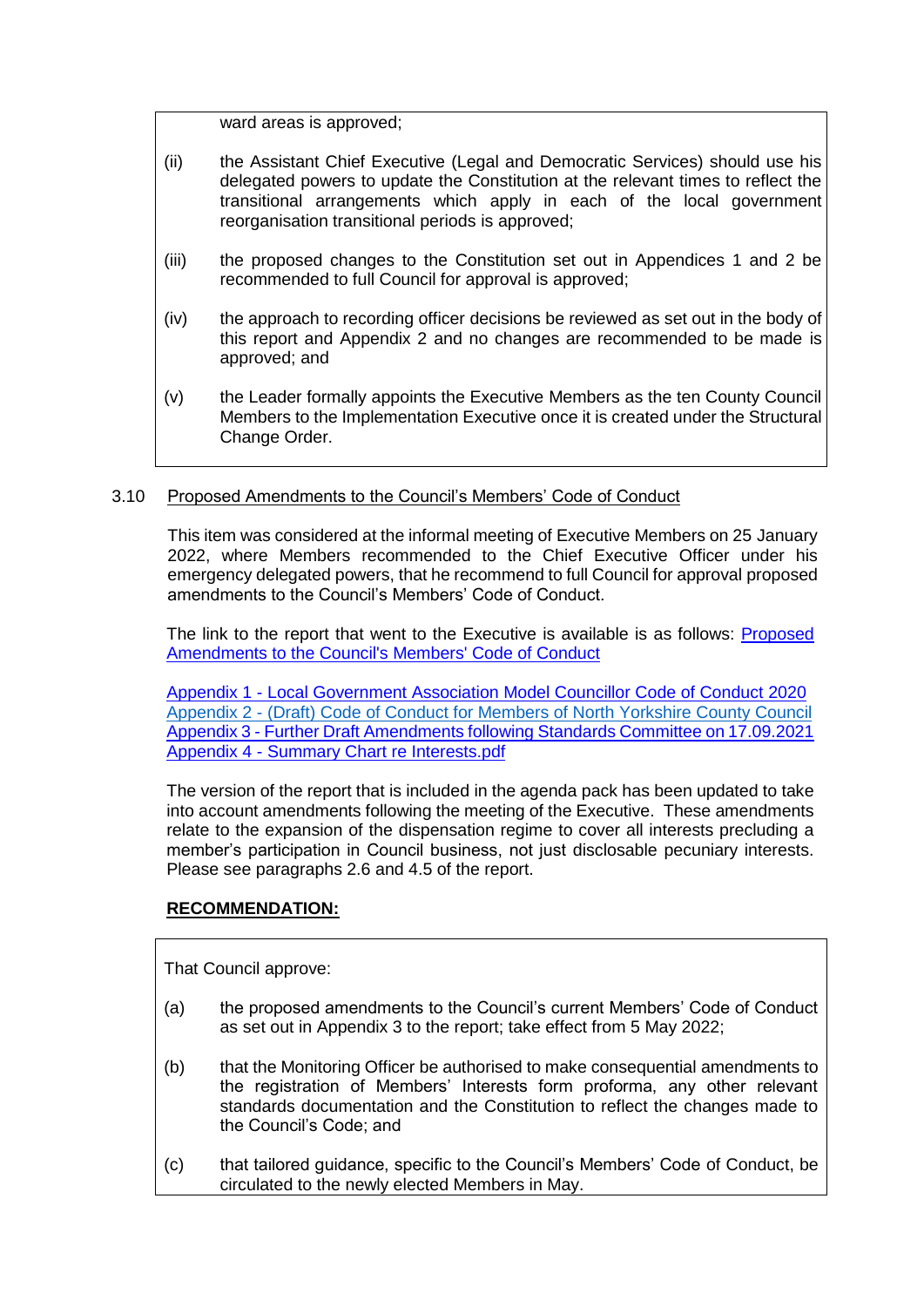ward areas is approved;

- (ii) the Assistant Chief Executive (Legal and Democratic Services) should use his delegated powers to update the Constitution at the relevant times to reflect the transitional arrangements which apply in each of the local government reorganisation transitional periods is approved;
- (iii) the proposed changes to the Constitution set out in Appendices 1 and 2 be recommended to full Council for approval is approved;
- (iv) the approach to recording officer decisions be reviewed as set out in the body of this report and Appendix 2 and no changes are recommended to be made is approved; and
- (v) the Leader formally appoints the Executive Members as the ten County Council Members to the Implementation Executive once it is created under the Structural Change Order.

### 3.10 Proposed Amendments to the Council's Members' Code of Conduct

This item was considered at the informal meeting of Executive Members on 25 January 2022, where Members recommended to the Chief Executive Officer under his emergency delegated powers, that he recommend to full Council for approval proposed amendments to the Council's Members' Code of Conduct.

The link to the report that went to the Executive is available is as follows: [Proposed](http://pa-mgov/documents/s10830/Code%20of%20Conduct%20Report.pdf)  [Amendments to the Council's Members' Code of Conduct](http://pa-mgov/documents/s10830/Code%20of%20Conduct%20Report.pdf)

Appendix 1 - [Local Government Association Model Councillor Code of Conduct 2020](http://pa-mgov/documents/s10831/Appendix%201%20-%20Model%20Code%20of%20Conduct.pdf) Appendix 2 - [\(Draft\) Code of Conduct for Members of North Yorkshire County Council](http://pa-mgov/documents/s10832/Appendix%202%20-%202013%20Code%20-%20revised%20re%20TU%20Membership.pdf) Appendix 3 - [Further Draft Amendments following Standards Committee on 17.09.2021](http://pa-mgov/documents/s10833/Appendix%203%20-%20Further%20Draft%20Amendments%20following%20SC%20on%2017.9.21.pdf) Appendix 4 - [Summary Chart re Interests.pdf](http://pa-mgov/documents/s10834/Appendix%204%20-%20Summary%20Chart%20re%20Interests.pdf)

The version of the report that is included in the agenda pack has been updated to take into account amendments following the meeting of the Executive. These amendments relate to the expansion of the dispensation regime to cover all interests precluding a member's participation in Council business, not just disclosable pecuniary interests. Please see paragraphs 2.6 and 4.5 of the report.

### **RECOMMENDATION:**

That Council approve:

- (a) the proposed amendments to the Council's current Members' Code of Conduct as set out in Appendix 3 to the report; take effect from 5 May 2022;
- (b) that the Monitoring Officer be authorised to make consequential amendments to the registration of Members' Interests form proforma, any other relevant standards documentation and the Constitution to reflect the changes made to the Council's Code; and
- (c) that tailored guidance, specific to the Council's Members' Code of Conduct, be circulated to the newly elected Members in May.